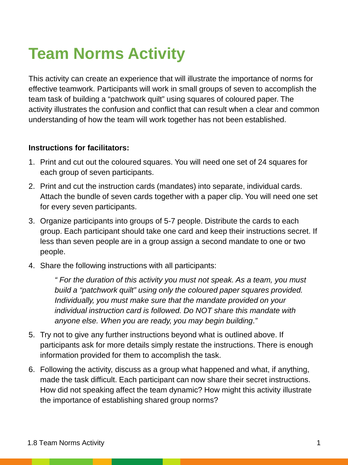# **Team Norms Activity**

This activity can create an experience that will illustrate the importance of norms for effective teamwork. Participants will work in small groups of seven to accomplish the team task of building a "patchwork quilt" using squares of coloured paper. The activity illustrates the confusion and conflict that can result when a clear and common understanding of how the team will work together has not been established.

#### **Instructions for facilitators:**

- 1. Print and cut out the coloured squares. You will need one set of 24 squares for each group of seven participants.
- 2. Print and cut the instruction cards (mandates) into separate, individual cards. Attach the bundle of seven cards together with a paper clip. You will need one set for every seven participants.
- 3. Organize participants into groups of 5-7 people. Distribute the cards to each group. Each participant should take one card and keep their instructions secret. If less than seven people are in a group assign a second mandate to one or two people.
- 4. Share the following instructions with all participants:

*" For the duration of this activity you must not speak. As a team, you must build a "patchwork quilt" using only the coloured paper squares provided. Individually, you must make sure that the mandate provided on your individual instruction card is followed. Do NOT share this mandate with anyone else. When you are ready, you may begin building*.*"*

- 5. Try not to give any further instructions beyond what is outlined above. If participants ask for more details simply restate the instructions. There is enough information provided for them to accomplish the task.
- 6. Following the activity, discuss as a group what happened and what, if anything, made the task difficult. Each participant can now share their secret instructions. How did not speaking affect the team dynamic? How might this activity illustrate the importance of establishing shared group norms?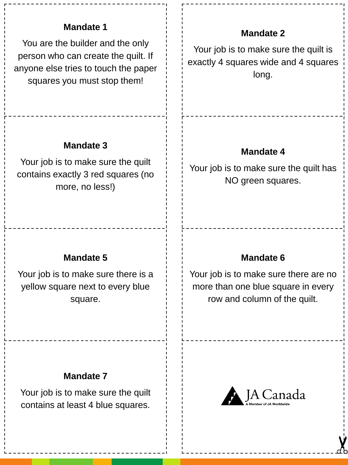## **Mandate 1**

You are the builder and the only person who can create the quilt. If anyone else tries to touch the paper squares you must stop them!

### **Mandate 3**

Your job is to make sure the quilt contains exactly 3 red squares (no more, no less!)

#### **Mandate 2**

Your job is to make sure the quilt is exactly 4 squares wide and 4 squares long.

#### **Mandate 4**

Your job is to make sure the quilt has NO green squares.

#### **Mandate 5**

Your job is to make sure there is a yellow square next to every blue square.

#### **Mandate 6**

Your job is to make sure there are no more than one blue square in every row and column of the quilt.

#### **Mandate 7**

Your job is to make sure the quilt contains at least 4 blue squares.

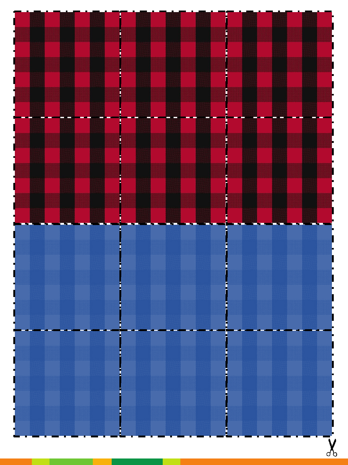